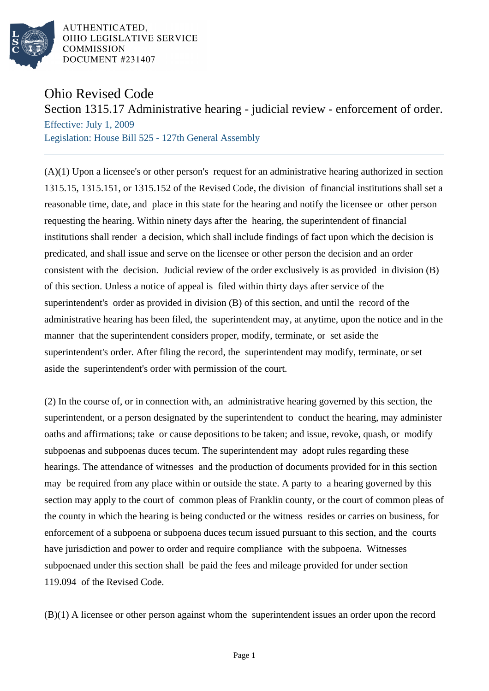

AUTHENTICATED. OHIO LEGISLATIVE SERVICE **COMMISSION** DOCUMENT #231407

## Ohio Revised Code

Section 1315.17 Administrative hearing - judicial review - enforcement of order.

Effective: July 1, 2009 Legislation: House Bill 525 - 127th General Assembly

(A)(1) Upon a licensee's or other person's request for an administrative hearing authorized in section 1315.15, 1315.151, or 1315.152 of the Revised Code, the division of financial institutions shall set a reasonable time, date, and place in this state for the hearing and notify the licensee or other person requesting the hearing. Within ninety days after the hearing, the superintendent of financial institutions shall render a decision, which shall include findings of fact upon which the decision is predicated, and shall issue and serve on the licensee or other person the decision and an order consistent with the decision. Judicial review of the order exclusively is as provided in division (B) of this section. Unless a notice of appeal is filed within thirty days after service of the superintendent's order as provided in division (B) of this section, and until the record of the administrative hearing has been filed, the superintendent may, at anytime, upon the notice and in the manner that the superintendent considers proper, modify, terminate, or set aside the superintendent's order. After filing the record, the superintendent may modify, terminate, or set aside the superintendent's order with permission of the court.

(2) In the course of, or in connection with, an administrative hearing governed by this section, the superintendent, or a person designated by the superintendent to conduct the hearing, may administer oaths and affirmations; take or cause depositions to be taken; and issue, revoke, quash, or modify subpoenas and subpoenas duces tecum. The superintendent may adopt rules regarding these hearings. The attendance of witnesses and the production of documents provided for in this section may be required from any place within or outside the state. A party to a hearing governed by this section may apply to the court of common pleas of Franklin county, or the court of common pleas of the county in which the hearing is being conducted or the witness resides or carries on business, for enforcement of a subpoena or subpoena duces tecum issued pursuant to this section, and the courts have jurisdiction and power to order and require compliance with the subpoena. Witnesses subpoenaed under this section shall be paid the fees and mileage provided for under section 119.094 of the Revised Code.

(B)(1) A licensee or other person against whom the superintendent issues an order upon the record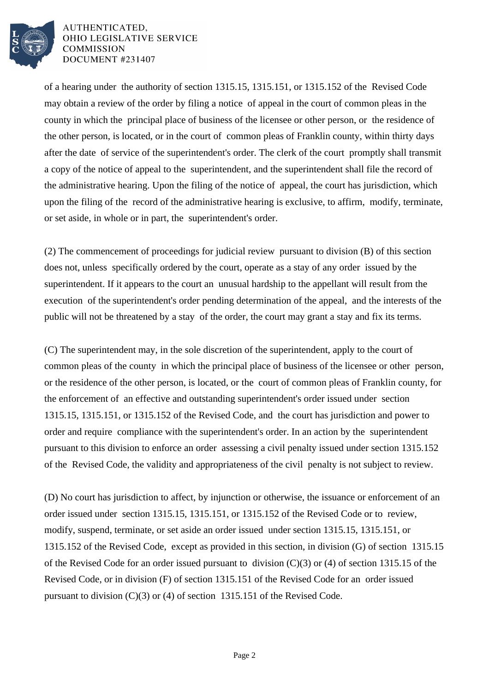

AUTHENTICATED. OHIO LEGISLATIVE SERVICE **COMMISSION** DOCUMENT #231407

of a hearing under the authority of section 1315.15, 1315.151, or 1315.152 of the Revised Code may obtain a review of the order by filing a notice of appeal in the court of common pleas in the county in which the principal place of business of the licensee or other person, or the residence of the other person, is located, or in the court of common pleas of Franklin county, within thirty days after the date of service of the superintendent's order. The clerk of the court promptly shall transmit a copy of the notice of appeal to the superintendent, and the superintendent shall file the record of the administrative hearing. Upon the filing of the notice of appeal, the court has jurisdiction, which upon the filing of the record of the administrative hearing is exclusive, to affirm, modify, terminate, or set aside, in whole or in part, the superintendent's order.

(2) The commencement of proceedings for judicial review pursuant to division (B) of this section does not, unless specifically ordered by the court, operate as a stay of any order issued by the superintendent. If it appears to the court an unusual hardship to the appellant will result from the execution of the superintendent's order pending determination of the appeal, and the interests of the public will not be threatened by a stay of the order, the court may grant a stay and fix its terms.

(C) The superintendent may, in the sole discretion of the superintendent, apply to the court of common pleas of the county in which the principal place of business of the licensee or other person, or the residence of the other person, is located, or the court of common pleas of Franklin county, for the enforcement of an effective and outstanding superintendent's order issued under section 1315.15, 1315.151, or 1315.152 of the Revised Code, and the court has jurisdiction and power to order and require compliance with the superintendent's order. In an action by the superintendent pursuant to this division to enforce an order assessing a civil penalty issued under section 1315.152 of the Revised Code, the validity and appropriateness of the civil penalty is not subject to review.

(D) No court has jurisdiction to affect, by injunction or otherwise, the issuance or enforcement of an order issued under section 1315.15, 1315.151, or 1315.152 of the Revised Code or to review, modify, suspend, terminate, or set aside an order issued under section 1315.15, 1315.151, or 1315.152 of the Revised Code, except as provided in this section, in division (G) of section 1315.15 of the Revised Code for an order issued pursuant to division (C)(3) or (4) of section 1315.15 of the Revised Code, or in division (F) of section 1315.151 of the Revised Code for an order issued pursuant to division (C)(3) or (4) of section 1315.151 of the Revised Code.